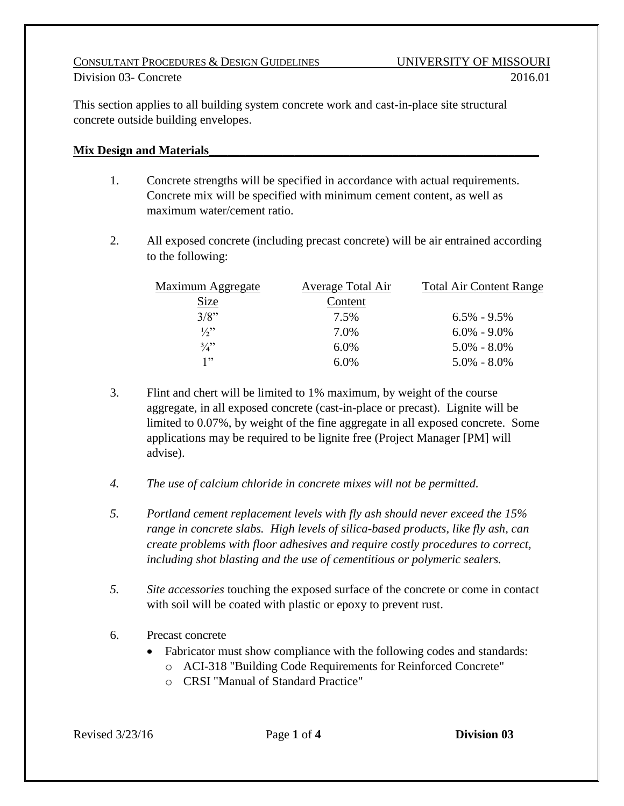### CONSULTANT PROCEDURES & DESIGN GUIDELINES UNIVERSITY OF MISSOURI Division 03- Concrete 2016.01

This section applies to all building system concrete work and cast-in-place site structural concrete outside building envelopes.

## **Mix Design and Materials**

- 1. Concrete strengths will be specified in accordance with actual requirements. Concrete mix will be specified with minimum cement content, as well as maximum water/cement ratio.
- 2. All exposed concrete (including precast concrete) will be air entrained according to the following:

| Maximum Aggregate | Average Total Air | <b>Total Air Content Range</b> |
|-------------------|-------------------|--------------------------------|
| <u>Size</u>       | Content           |                                |
| 3/8"              | 7.5%              | $6.5\% - 9.5\%$                |
| $\frac{1}{2}$     | 7.0%              | $6.0\% - 9.0\%$                |
| $\frac{3}{4}$     | $6.0\%$           | $5.0\% - 8.0\%$                |
| 1, 22             | $6.0\%$           | $5.0\% - 8.0\%$                |

- 3. Flint and chert will be limited to 1% maximum, by weight of the course aggregate, in all exposed concrete (cast-in-place or precast). Lignite will be limited to 0.07%, by weight of the fine aggregate in all exposed concrete. Some applications may be required to be lignite free (Project Manager [PM] will advise).
- *4. The use of calcium chloride in concrete mixes will not be permitted.*
- *5. Portland cement replacement levels with fly ash should never exceed the 15% range in concrete slabs. High levels of silica-based products, like fly ash, can create problems with floor adhesives and require costly procedures to correct, including shot blasting and the use of cementitious or polymeric sealers.*
- *5. Site accessories* touching the exposed surface of the concrete or come in contact with soil will be coated with plastic or epoxy to prevent rust.
- 6. Precast concrete
	- Fabricator must show compliance with the following codes and standards:
		- o ACI-318 "Building Code Requirements for Reinforced Concrete"
		- o CRSI "Manual of Standard Practice"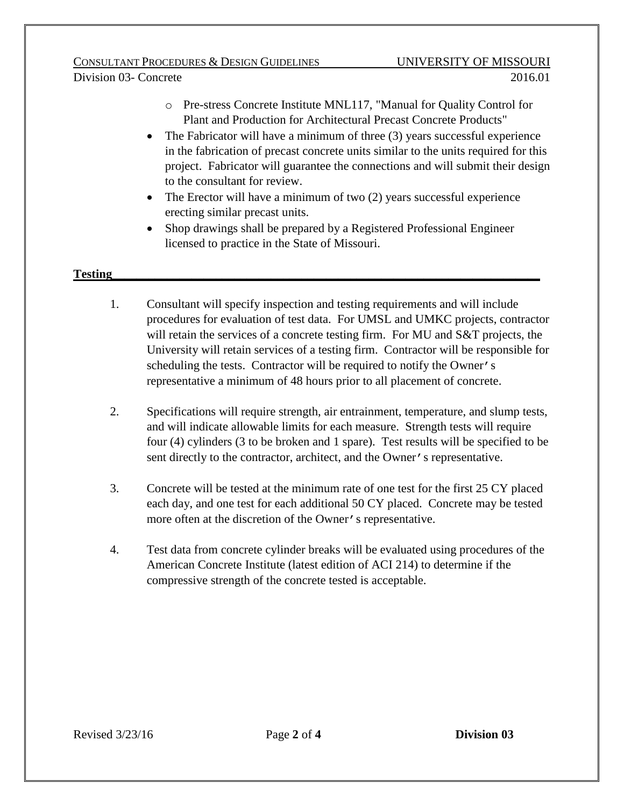### CONSULTANT PROCEDURES & DESIGN GUIDELINES UNIVERSITY OF MISSOURI Division 03- Concrete 2016.01

- o Pre-stress Concrete Institute MNL117, "Manual for Quality Control for Plant and Production for Architectural Precast Concrete Products"
- The Fabricator will have a minimum of three (3) years successful experience in the fabrication of precast concrete units similar to the units required for this project. Fabricator will guarantee the connections and will submit their design to the consultant for review.
- The Erector will have a minimum of two (2) years successful experience erecting similar precast units.
- Shop drawings shall be prepared by a Registered Professional Engineer licensed to practice in the State of Missouri.

## **Testing**

- 1. Consultant will specify inspection and testing requirements and will include procedures for evaluation of test data. For UMSL and UMKC projects, contractor will retain the services of a concrete testing firm. For MU and S&T projects, the University will retain services of a testing firm. Contractor will be responsible for scheduling the tests. Contractor will be required to notify the Owner's representative a minimum of 48 hours prior to all placement of concrete.
- 2. Specifications will require strength, air entrainment, temperature, and slump tests, and will indicate allowable limits for each measure. Strength tests will require four (4) cylinders (3 to be broken and 1 spare). Test results will be specified to be sent directly to the contractor, architect, and the Owner's representative.
- 3. Concrete will be tested at the minimum rate of one test for the first 25 CY placed each day, and one test for each additional 50 CY placed. Concrete may be tested more often at the discretion of the Owner's representative.
- 4. Test data from concrete cylinder breaks will be evaluated using procedures of the American Concrete Institute (latest edition of ACI 214) to determine if the compressive strength of the concrete tested is acceptable.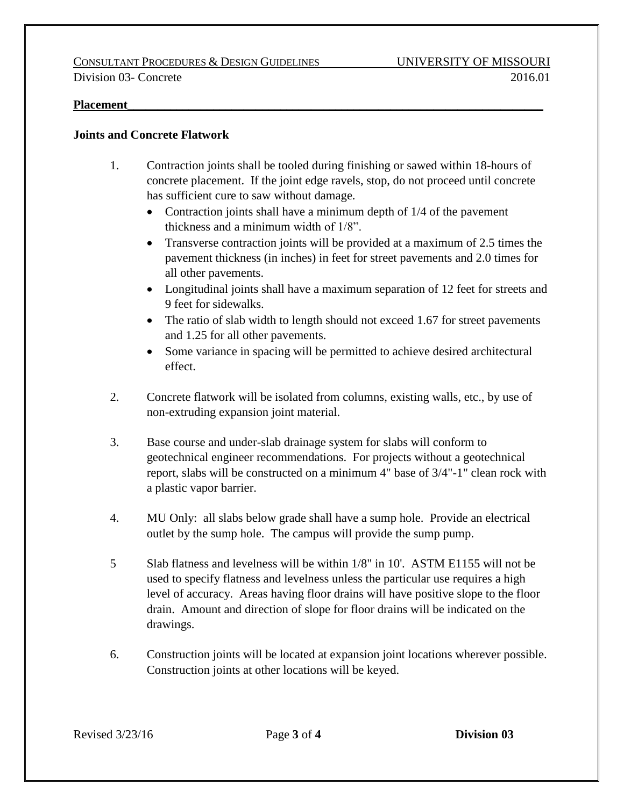#### **Placement**

### **Joints and Concrete Flatwork**

- 1. Contraction joints shall be tooled during finishing or sawed within 18-hours of concrete placement. If the joint edge ravels, stop, do not proceed until concrete has sufficient cure to saw without damage.
	- Contraction joints shall have a minimum depth of 1/4 of the pavement thickness and a minimum width of 1/8".
	- Transverse contraction joints will be provided at a maximum of 2.5 times the pavement thickness (in inches) in feet for street pavements and 2.0 times for all other pavements.
	- Longitudinal joints shall have a maximum separation of 12 feet for streets and 9 feet for sidewalks.
	- The ratio of slab width to length should not exceed 1.67 for street pavements and 1.25 for all other pavements.
	- Some variance in spacing will be permitted to achieve desired architectural effect.
- 2. Concrete flatwork will be isolated from columns, existing walls, etc., by use of non-extruding expansion joint material.
- 3. Base course and under-slab drainage system for slabs will conform to geotechnical engineer recommendations. For projects without a geotechnical report, slabs will be constructed on a minimum 4" base of 3/4"-1" clean rock with a plastic vapor barrier.
- 4. MU Only: all slabs below grade shall have a sump hole. Provide an electrical outlet by the sump hole. The campus will provide the sump pump.
- 5 Slab flatness and levelness will be within 1/8" in 10'. ASTM E1155 will not be used to specify flatness and levelness unless the particular use requires a high level of accuracy. Areas having floor drains will have positive slope to the floor drain. Amount and direction of slope for floor drains will be indicated on the drawings.
- 6. Construction joints will be located at expansion joint locations wherever possible. Construction joints at other locations will be keyed.